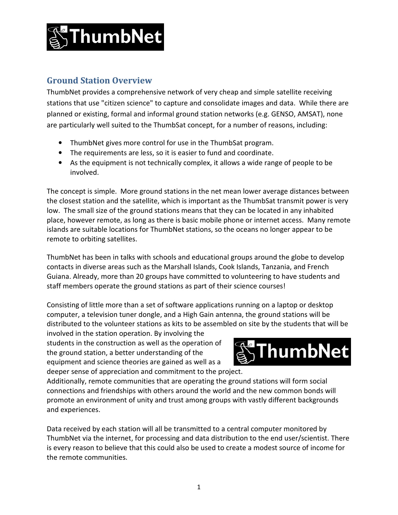

## **Ground Station Overview**

ThumbNet provides a comprehensive network of very cheap and simple satellite receiving stations that use "citizen science" to capture and consolidate images and data. While there are planned or existing, formal and informal ground station networks (e.g. GENSO, AMSAT), none are particularly well suited to the ThumbSat concept, for a number of reasons, including:

- ThumbNet gives more control for use in the ThumbSat program.
- The requirements are less, so it is easier to fund and coordinate.
- As the equipment is not technically complex, it allows a wide range of people to be involved.

The concept is simple. More ground stations in the net mean lower average distances between the closest station and the satellite, which is important as the ThumbSat transmit power is very low. The small size of the ground stations means that they can be located in any inhabited place, however remote, as long as there is basic mobile phone or internet access. Many remote islands are suitable locations for ThumbNet stations, so the oceans no longer appear to be remote to orbiting satellites.

ThumbNet has been in talks with schools and educational groups around the globe to develop contacts in diverse areas such as the Marshall Islands, Cook Islands, Tanzania, and French Guiana. Already, more than 20 groups have committed to volunteering to have students and staff members operate the ground stations as part of their science courses!

Consisting of little more than a set of software applications running on a laptop or desktop computer, a television tuner dongle, and a High Gain antenna, the ground stations will be distributed to the volunteer stations as kits to be assembled on site by the students that will be

involved in the station operation. By involving the students in the construction as well as the operation of the ground station, a better understanding of the equipment and science theories are gained as well as a deeper sense of appreciation and commitment to the project.



Additionally, remote communities that are operating the ground stations will form social connections and friendships with others around the world and the new common bonds will promote an environment of unity and trust among groups with vastly different backgrounds and experiences.

Data received by each station will all be transmitted to a central computer monitored by ThumbNet via the internet, for processing and data distribution to the end user/scientist. There is every reason to believe that this could also be used to create a modest source of income for the remote communities.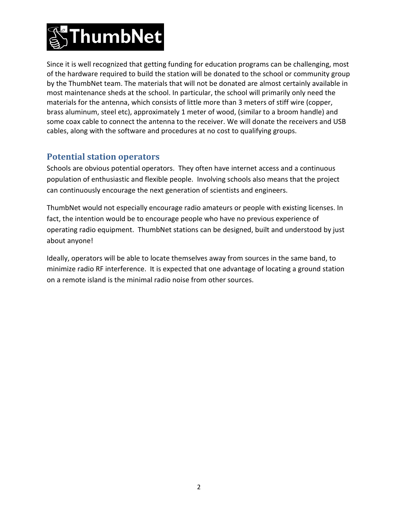

Since it is well recognized that getting funding for education programs can be challenging, most of the hardware required to build the station will be donated to the school or community group by the ThumbNet team. The materials that will not be donated are almost certainly available in most maintenance sheds at the school. In particular, the school will primarily only need the materials for the antenna, which consists of little more than 3 meters of stiff wire (copper, brass aluminum, steel etc), approximately 1 meter of wood, (similar to a broom handle) and some coax cable to connect the antenna to the receiver. We will donate the receivers and USB cables, along with the software and procedures at no cost to qualifying groups.

## **Potential station operators**

Schools are obvious potential operators. They often have internet access and a continuous population of enthusiastic and flexible people. Involving schools also means that the project can continuously encourage the next generation of scientists and engineers.

ThumbNet would not especially encourage radio amateurs or people with existing licenses. In fact, the intention would be to encourage people who have no previous experience of operating radio equipment. ThumbNet stations can be designed, built and understood by just about anyone!

Ideally, operators will be able to locate themselves away from sources in the same band, to minimize radio RF interference. It is expected that one advantage of locating a ground station on a remote island is the minimal radio noise from other sources.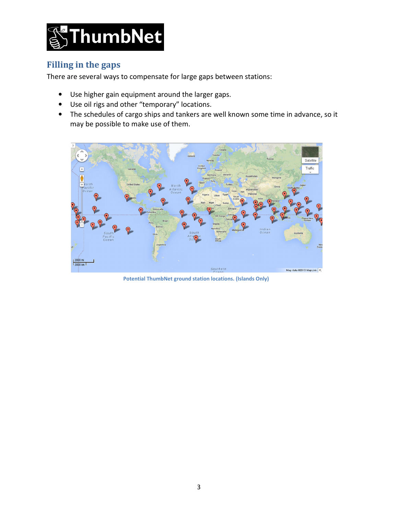

## **Filling in the gaps**

There are several ways to compensate for large gaps between stations:

- Use higher gain equipment around the larger gaps.
- Use oil rigs and other "temporary" locations.
- The schedules of cargo ships and tankers are well known some time in advance, so it may be possible to make use of them.



**Potential ThumbNet ground station locations. (Islands Only)**